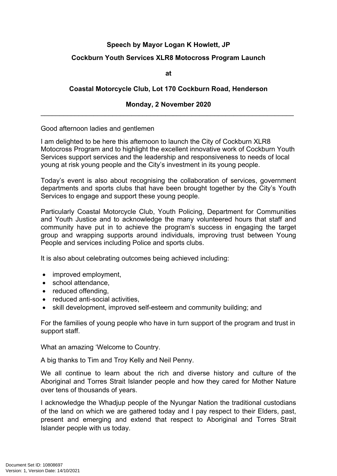# **Speech by Mayor Logan K Howlett, JP**

## **Cockburn Youth Services XLR8 Motocross Program Launch**

**at**

### **Coastal Motorcycle Club, Lot 170 Cockburn Road, Henderson**

#### **Monday, 2 November 2020** \_\_\_\_\_\_\_\_\_\_\_\_\_\_\_\_\_\_\_\_\_\_\_\_\_\_\_\_\_\_\_\_\_\_\_\_\_\_\_\_\_\_\_\_\_\_\_\_\_\_\_\_\_\_\_\_\_\_\_\_\_\_\_\_\_\_\_

#### Good afternoon ladies and gentlemen

I am delighted to be here this afternoon to launch the City of Cockburn XLR8 Motocross Program and to highlight the excellent innovative work of Cockburn Youth Services support services and the leadership and responsiveness to needs of local young at risk young people and the City's investment in its young people.

Today's event is also about recognising the collaboration of services, government departments and sports clubs that have been brought together by the City's Youth Services to engage and support these young people.

Particularly Coastal Motorcycle Club, Youth Policing, Department for Communities and Youth Justice and to acknowledge the many volunteered hours that staff and community have put in to achieve the program's success in engaging the target group and wrapping supports around individuals, improving trust between Young People and services including Police and sports clubs.

It is also about celebrating outcomes being achieved including:

- improved employment,
- school attendance,
- reduced offending,
- reduced anti-social activities,
- skill development, improved self-esteem and community building; and

For the families of young people who have in turn support of the program and trust in support staff.

What an amazing 'Welcome to Country.

A big thanks to Tim and Troy Kelly and Neil Penny.

We all continue to learn about the rich and diverse history and culture of the Aboriginal and Torres Strait Islander people and how they cared for Mother Nature over tens of thousands of years.

I acknowledge the Whadjup people of the Nyungar Nation the traditional custodians of the land on which we are gathered today and I pay respect to their Elders, past, present and emerging and extend that respect to Aboriginal and Torres Strait Islander people with us today.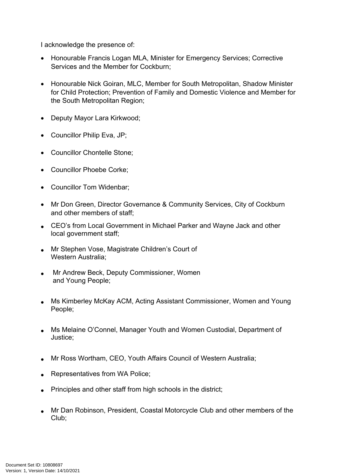I acknowledge the presence of:

- Honourable Francis Logan MLA, Minister for Emergency Services; Corrective Services and the Member for Cockburn;
- Honourable Nick Goiran, MLC, Member for South Metropolitan, Shadow Minister for Child Protection; Prevention of Family and Domestic Violence and Member for the South Metropolitan Region;
- Deputy Mayor Lara Kirkwood;
- Councillor Philip Eva, JP;
- Councillor Chontelle Stone:
- Councillor Phoebe Corke:
- Councillor Tom Widenbar;
- Mr Don Green, Director Governance & Community Services, City of Cockburn and other members of staff;
- CEO's from Local Government in Michael Parker and Wayne Jack and other local government staff;
- Mr Stephen Vose, Magistrate Children's Court of Western Australia;
- Mr Andrew Beck, Deputy Commissioner, Women and Young People;
- Ms Kimberley McKay ACM, Acting Assistant Commissioner, Women and Young People;
- Ms Melaine O'Connel, Manager Youth and Women Custodial, Department of Justice;
- Mr Ross Wortham, CEO, Youth Affairs Council of Western Australia;
- Representatives from WA Police;
- Principles and other staff from high schools in the district;
- Mr Dan Robinson, President, Coastal Motorcycle Club and other members of the Club;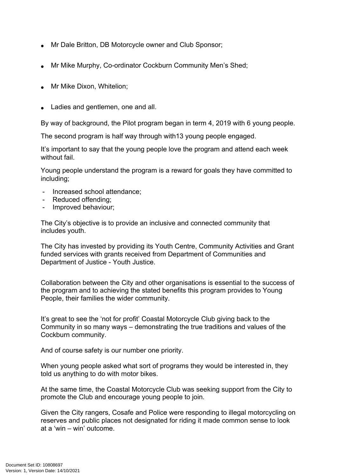- Mr Dale Britton, DB Motorcycle owner and Club Sponsor;
- Mr Mike Murphy, Co-ordinator Cockburn Community Men's Shed;
- Mr Mike Dixon, Whitelion;
- Ladies and gentlemen, one and all.

By way of background, the Pilot program began in term 4, 2019 with 6 young people.

The second program is half way through with13 young people engaged.

It's important to say that the young people love the program and attend each week without fail.

Young people understand the program is a reward for goals they have committed to including;

- Increased school attendance;
- Reduced offending;
- Improved behaviour;

The City's objective is to provide an inclusive and connected community that includes youth.

The City has invested by providing its Youth Centre, Community Activities and Grant funded services with grants received from Department of Communities and Department of Justice - Youth Justice.

Collaboration between the City and other organisations is essential to the success of the program and to achieving the stated benefits this program provides to Young People, their families the wider community.

It's great to see the 'not for profit' Coastal Motorcycle Club giving back to the Community in so many ways – demonstrating the true traditions and values of the Cockburn community.

And of course safety is our number one priority.

When young people asked what sort of programs they would be interested in, they told us anything to do with motor bikes.

At the same time, the Coastal Motorcycle Club was seeking support from the City to promote the Club and encourage young people to join.

Given the City rangers, Cosafe and Police were responding to illegal motorcycling on reserves and public places not designated for riding it made common sense to look at a 'win – win' outcome.